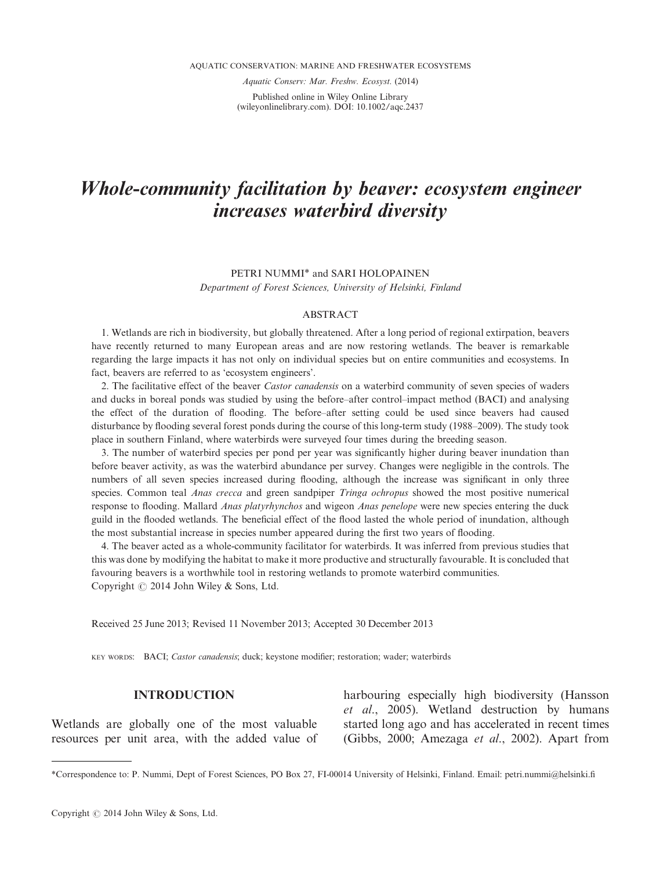Aquatic Conserv: Mar. Freshw. Ecosyst. (2014)

Published online in Wiley Online Library (wileyonlinelibrary.com). DOI: 10.1002/aqc.2437

# Whole-community facilitation by beaver: ecosystem engineer increases waterbird diversity

# PETRI NUMMI\* and SARI HOLOPAINEN Department of Forest Sciences, University of Helsinki, Finland

#### **ABSTRACT**

1. Wetlands are rich in biodiversity, but globally threatened. After a long period of regional extirpation, beavers have recently returned to many European areas and are now restoring wetlands. The beaver is remarkable regarding the large impacts it has not only on individual species but on entire communities and ecosystems. In fact, beavers are referred to as 'ecosystem engineers'.

2. The facilitative effect of the beaver *Castor canadensis* on a waterbird community of seven species of waders and ducks in boreal ponds was studied by using the before–after control–impact method (BACI) and analysing the effect of the duration of flooding. The before–after setting could be used since beavers had caused disturbance by flooding several forest ponds during the course of this long-term study (1988–2009). The study took place in southern Finland, where waterbirds were surveyed four times during the breeding season.

3. The number of waterbird species per pond per year was significantly higher during beaver inundation than before beaver activity, as was the waterbird abundance per survey. Changes were negligible in the controls. The numbers of all seven species increased during flooding, although the increase was significant in only three species. Common teal *Anas crecca* and green sandpiper *Tringa ochropus* showed the most positive numerical response to flooding. Mallard Anas platyrhynchos and wigeon Anas penelope were new species entering the duck guild in the flooded wetlands. The beneficial effect of the flood lasted the whole period of inundation, although the most substantial increase in species number appeared during the first two years of flooding.

4. The beaver acted as a whole-community facilitator for waterbirds. It was inferred from previous studies that this was done by modifying the habitat to make it more productive and structurally favourable. It is concluded that favouring beavers is a worthwhile tool in restoring wetlands to promote waterbird communities. Copyright  $\odot$  2014 John Wiley & Sons, Ltd.

Received 25 June 2013; Revised 11 November 2013; Accepted 30 December 2013

KEY WORDS: BACI; Castor canadensis; duck; keystone modifier; restoration; wader; waterbirds

## INTRODUCTION

Wetlands are globally one of the most valuable resources per unit area, with the added value of harbouring especially high biodiversity (Hansson et al., 2005). Wetland destruction by humans started long ago and has accelerated in recent times (Gibbs, 2000; Amezaga et al., 2002). Apart from

<sup>\*</sup>Correspondence to: P. Nummi, Dept of Forest Sciences, PO Box 27, FI-00014 University of Helsinki, Finland. Email: petri.nummi@helsinki.fi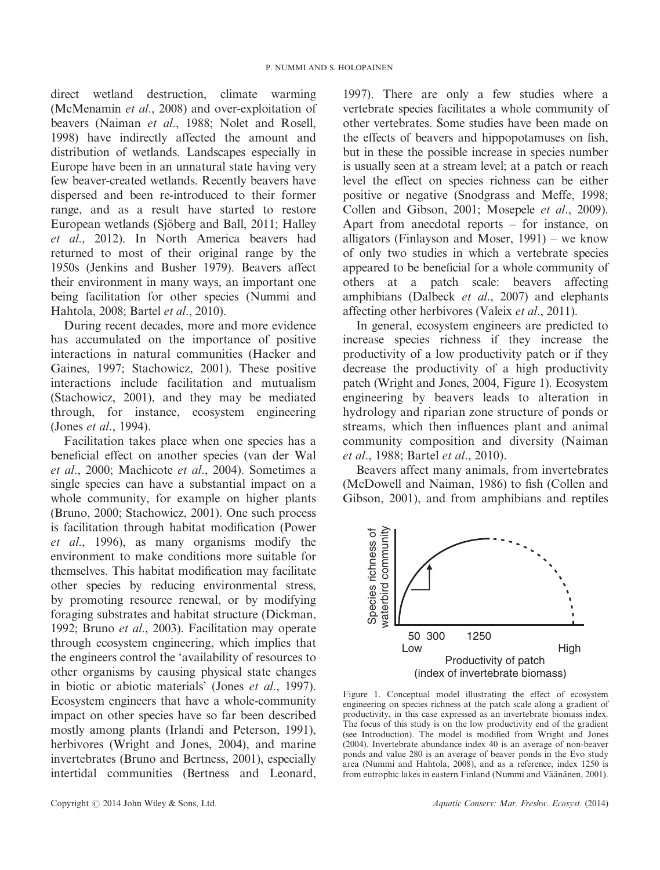direct wetland destruction, climate warming (McMenamin et al., 2008) and over-exploitation of beavers (Naiman et al., 1988; Nolet and Rosell, 1998) have indirectly affected the amount and distribution of wetlands. Landscapes especially in Europe have been in an unnatural state having very few beaver-created wetlands. Recently beavers have dispersed and been re-introduced to their former range, and as a result have started to restore European wetlands (Sjöberg and Ball, 2011; Halley et al., 2012). In North America beavers had returned to most of their original range by the 1950s (Jenkins and Busher 1979). Beavers affect their environment in many ways, an important one being facilitation for other species (Nummi and Hahtola, 2008; Bartel et al., 2010).

During recent decades, more and more evidence has accumulated on the importance of positive interactions in natural communities (Hacker and Gaines, 1997; Stachowicz, 2001). These positive interactions include facilitation and mutualism (Stachowicz, 2001), and they may be mediated through, for instance, ecosystem engineering (Jones et al., 1994).

Facilitation takes place when one species has a beneficial effect on another species (van der Wal et al., 2000; Machicote et al., 2004). Sometimes a single species can have a substantial impact on a whole community, for example on higher plants (Bruno, 2000; Stachowicz, 2001). One such process is facilitation through habitat modification (Power et al., 1996), as many organisms modify the environment to make conditions more suitable for themselves. This habitat modification may facilitate other species by reducing environmental stress, by promoting resource renewal, or by modifying foraging substrates and habitat structure (Dickman, 1992; Bruno et al., 2003). Facilitation may operate through ecosystem engineering, which implies that the engineers control the 'availability of resources to other organisms by causing physical state changes in biotic or abiotic materials' (Jones et al., 1997). Ecosystem engineers that have a whole-community impact on other species have so far been described mostly among plants (Irlandi and Peterson, 1991), herbivores (Wright and Jones, 2004), and marine invertebrates (Bruno and Bertness, 2001), especially intertidal communities (Bertness and Leonard,

1997). There are only a few studies where a vertebrate species facilitates a whole community of other vertebrates. Some studies have been made on the effects of beavers and hippopotamuses on fish, but in these the possible increase in species number is usually seen at a stream level; at a patch or reach level the effect on species richness can be either positive or negative (Snodgrass and Meffe, 1998; Collen and Gibson, 2001; Mosepele et al., 2009). Apart from anecdotal reports – for instance, on alligators (Finlayson and Moser, 1991) – we know of only two studies in which a vertebrate species appeared to be beneficial for a whole community of others at a patch scale: beavers affecting amphibians (Dalbeck et al., 2007) and elephants affecting other herbivores (Valeix *et al.*, 2011).

In general, ecosystem engineers are predicted to increase species richness if they increase the productivity of a low productivity patch or if they decrease the productivity of a high productivity patch (Wright and Jones, 2004, Figure 1). Ecosystem engineering by beavers leads to alteration in hydrology and riparian zone structure of ponds or streams, which then influences plant and animal community composition and diversity (Naiman et al., 1988; Bartel et al., 2010).

Beavers affect many animals, from invertebrates (McDowell and Naiman, 1986) to fish (Collen and Gibson, 2001), and from amphibians and reptiles



Figure 1. Conceptual model illustrating the effect of ecosystem engineering on species richness at the patch scale along a gradient of productivity, in this case expressed as an invertebrate biomass index. The focus of this study is on the low productivity end of the gradient (see Introduction). The model is modified from Wright and Jones (2004). Invertebrate abundance index 40 is an average of non-beaver ponds and value 280 is an average of beaver ponds in the Evo study area (Nummi and Hahtola, 2008), and as a reference, index 1250 is from eutrophic lakes in eastern Finland (Nummi and Väänänen, 2001).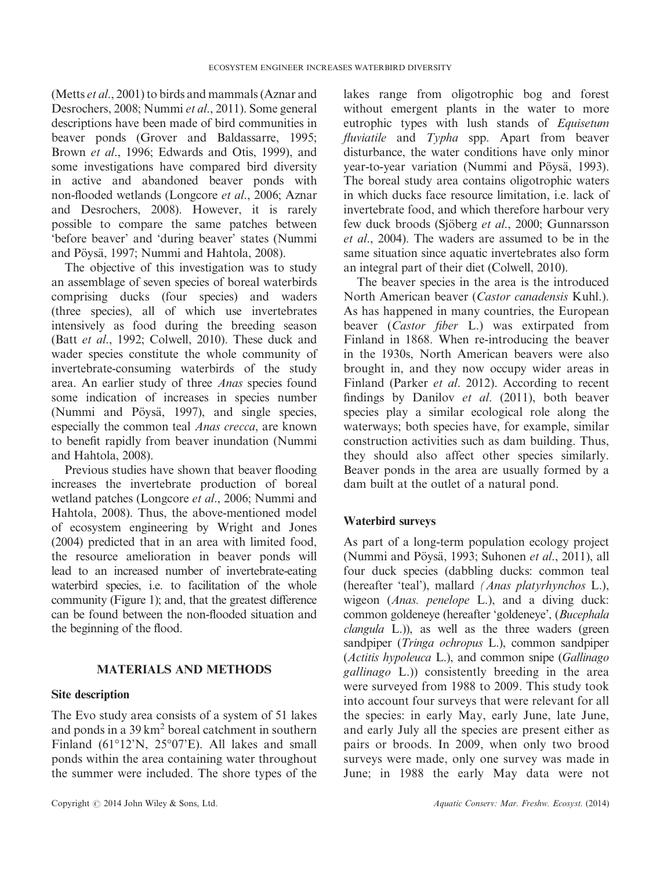(Metts et al., 2001) to birds and mammals (Aznar and Desrochers, 2008; Nummi et al., 2011). Some general descriptions have been made of bird communities in beaver ponds (Grover and Baldassarre, 1995; Brown et al., 1996; Edwards and Otis, 1999), and some investigations have compared bird diversity in active and abandoned beaver ponds with non-flooded wetlands (Longcore et al., 2006; Aznar and Desrochers, 2008). However, it is rarely possible to compare the same patches between 'before beaver' and 'during beaver' states (Nummi and Pöysä, 1997; Nummi and Hahtola, 2008).

The objective of this investigation was to study an assemblage of seven species of boreal waterbirds comprising ducks (four species) and waders (three species), all of which use invertebrates intensively as food during the breeding season (Batt et al., 1992; Colwell, 2010). These duck and wader species constitute the whole community of invertebrate-consuming waterbirds of the study area. An earlier study of three Anas species found some indication of increases in species number (Nummi and Pöysä, 1997), and single species, especially the common teal Anas crecca, are known to benefit rapidly from beaver inundation (Nummi and Hahtola, 2008).

Previous studies have shown that beaver flooding increases the invertebrate production of boreal wetland patches (Longcore et al., 2006; Nummi and Hahtola, 2008). Thus, the above-mentioned model of ecosystem engineering by Wright and Jones (2004) predicted that in an area with limited food, the resource amelioration in beaver ponds will lead to an increased number of invertebrate-eating waterbird species, i.e. to facilitation of the whole community (Figure 1); and, that the greatest difference can be found between the non-flooded situation and the beginning of the flood.

# MATERIALS AND METHODS

## Site description

The Evo study area consists of a system of 51 lakes and ponds in a 39 km<sup>2</sup> boreal catchment in southern Finland (61°12'N, 25°07'E). All lakes and small ponds within the area containing water throughout the summer were included. The shore types of the

lakes range from oligotrophic bog and forest without emergent plants in the water to more eutrophic types with lush stands of Equisetum fluviatile and Typha spp. Apart from beaver disturbance, the water conditions have only minor year-to-year variation (Nummi and Pöysä, 1993). The boreal study area contains oligotrophic waters in which ducks face resource limitation, i.e. lack of invertebrate food, and which therefore harbour very few duck broods (Sjöberg et al., 2000; Gunnarsson et al., 2004). The waders are assumed to be in the same situation since aquatic invertebrates also form an integral part of their diet (Colwell, 2010).

The beaver species in the area is the introduced North American beaver (Castor canadensis Kuhl.). As has happened in many countries, the European beaver (Castor fiber L.) was extirpated from Finland in 1868. When re-introducing the beaver in the 1930s, North American beavers were also brought in, and they now occupy wider areas in Finland (Parker et al. 2012). According to recent findings by Danilov et al. (2011), both beaver species play a similar ecological role along the waterways; both species have, for example, similar construction activities such as dam building. Thus, they should also affect other species similarly. Beaver ponds in the area are usually formed by a dam built at the outlet of a natural pond.

## Waterbird surveys

As part of a long-term population ecology project (Nummi and Pöysä, 1993; Suhonen et al., 2011), all four duck species (dabbling ducks: common teal (hereafter 'teal'), mallard (Anas platyrhynchos L.), wigeon (Anas. penelope L.), and a diving duck: common goldeneye (hereafter 'goldeneye', (Bucephala  $clangular$  L.)), as well as the three waders (green sandpiper (Tringa ochropus L.), common sandpiper (Actitis hypoleuca L.), and common snipe (Gallinago gallinago L.)) consistently breeding in the area were surveyed from 1988 to 2009. This study took into account four surveys that were relevant for all the species: in early May, early June, late June, and early July all the species are present either as pairs or broods. In 2009, when only two brood surveys were made, only one survey was made in June; in 1988 the early May data were not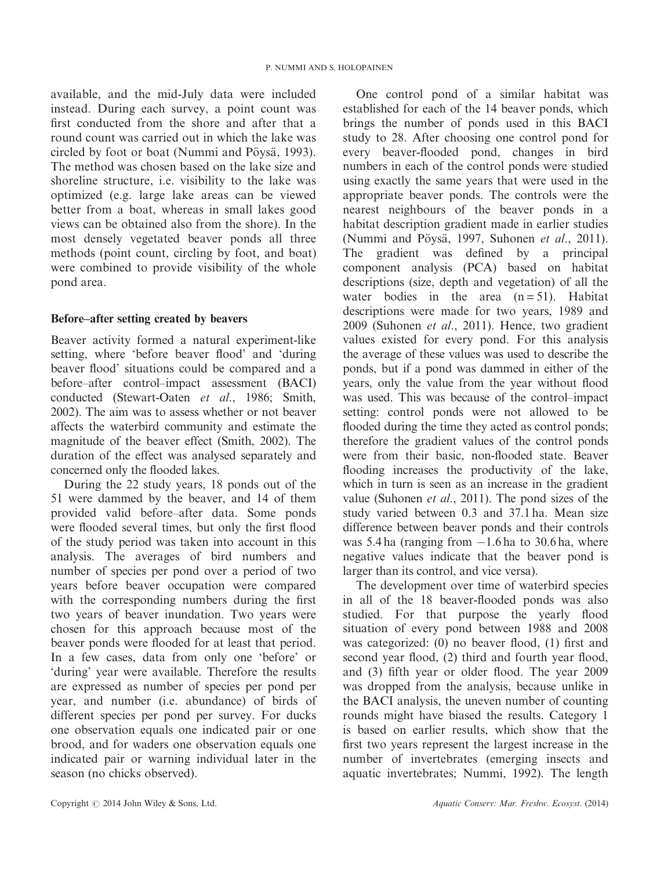available, and the mid-July data were included instead. During each survey, a point count was first conducted from the shore and after that a round count was carried out in which the lake was circled by foot or boat (Nummi and Pöysä, 1993). The method was chosen based on the lake size and shoreline structure, i.e. visibility to the lake was optimized (e.g. large lake areas can be viewed better from a boat, whereas in small lakes good views can be obtained also from the shore). In the most densely vegetated beaver ponds all three methods (point count, circling by foot, and boat) were combined to provide visibility of the whole pond area.

# Before–after setting created by beavers

Beaver activity formed a natural experiment-like setting, where 'before beaver flood' and 'during beaver flood' situations could be compared and a before–after control–impact assessment (BACI) conducted (Stewart-Oaten et al., 1986; Smith, 2002). The aim was to assess whether or not beaver affects the waterbird community and estimate the magnitude of the beaver effect (Smith, 2002). The duration of the effect was analysed separately and concerned only the flooded lakes.

During the 22 study years, 18 ponds out of the 51 were dammed by the beaver, and 14 of them provided valid before–after data. Some ponds were flooded several times, but only the first flood of the study period was taken into account in this analysis. The averages of bird numbers and number of species per pond over a period of two years before beaver occupation were compared with the corresponding numbers during the first two years of beaver inundation. Two years were chosen for this approach because most of the beaver ponds were flooded for at least that period. In a few cases, data from only one 'before' or 'during' year were available. Therefore the results are expressed as number of species per pond per year, and number (i.e. abundance) of birds of different species per pond per survey. For ducks one observation equals one indicated pair or one brood, and for waders one observation equals one indicated pair or warning individual later in the season (no chicks observed).

One control pond of a similar habitat was established for each of the 14 beaver ponds, which brings the number of ponds used in this BACI study to 28. After choosing one control pond for every beaver-flooded pond, changes in bird numbers in each of the control ponds were studied using exactly the same years that were used in the appropriate beaver ponds. The controls were the nearest neighbours of the beaver ponds in a habitat description gradient made in earlier studies (Nummi and Pöysä, 1997, Suhonen et al., 2011). The gradient was defined by a principal component analysis (PCA) based on habitat descriptions (size, depth and vegetation) of all the water bodies in the area  $(n=51)$ . Habitat descriptions were made for two years, 1989 and 2009 (Suhonen et al., 2011). Hence, two gradient values existed for every pond. For this analysis the average of these values was used to describe the ponds, but if a pond was dammed in either of the years, only the value from the year without flood was used. This was because of the control–impact setting: control ponds were not allowed to be flooded during the time they acted as control ponds; therefore the gradient values of the control ponds were from their basic, non-flooded state. Beaver flooding increases the productivity of the lake, which in turn is seen as an increase in the gradient value (Suhonen et al., 2011). The pond sizes of the study varied between 0.3 and 37.1 ha. Mean size difference between beaver ponds and their controls was 5.4 ha (ranging from  $-1.6$  ha to 30.6 ha, where negative values indicate that the beaver pond is larger than its control, and vice versa).

The development over time of waterbird species in all of the 18 beaver-flooded ponds was also studied. For that purpose the yearly flood situation of every pond between 1988 and 2008 was categorized: (0) no beaver flood, (1) first and second year flood, (2) third and fourth year flood, and (3) fifth year or older flood. The year 2009 was dropped from the analysis, because unlike in the BACI analysis, the uneven number of counting rounds might have biased the results. Category 1 is based on earlier results, which show that the first two years represent the largest increase in the number of invertebrates (emerging insects and aquatic invertebrates; Nummi, 1992). The length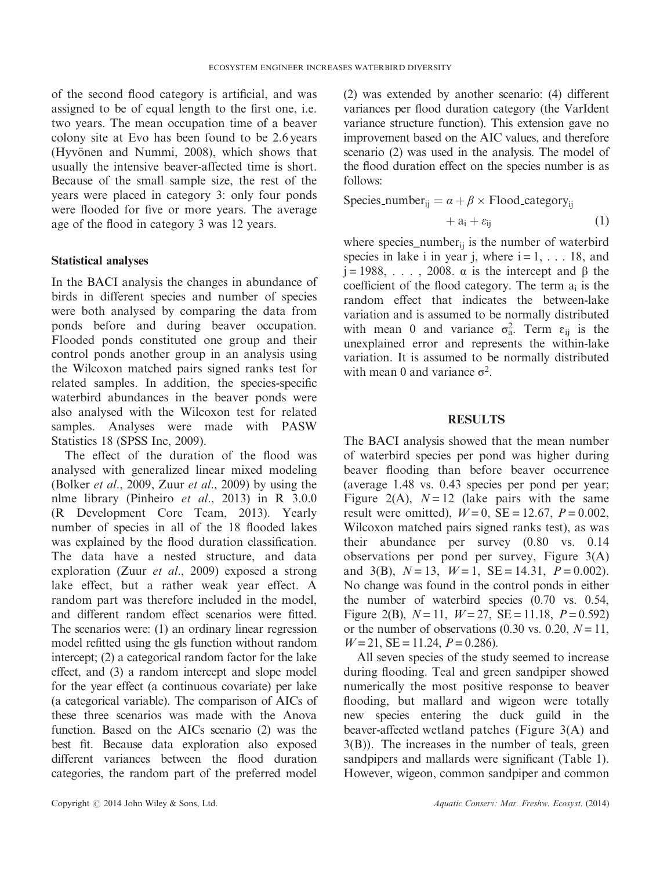of the second flood category is artificial, and was assigned to be of equal length to the first one, i.e. two years. The mean occupation time of a beaver colony site at Evo has been found to be 2.6 years (Hyvönen and Nummi, 2008), which shows that usually the intensive beaver-affected time is short. Because of the small sample size, the rest of the years were placed in category 3: only four ponds were flooded for five or more years. The average age of the flood in category 3 was 12 years.

## Statistical analyses

In the BACI analysis the changes in abundance of birds in different species and number of species were both analysed by comparing the data from ponds before and during beaver occupation. Flooded ponds constituted one group and their control ponds another group in an analysis using the Wilcoxon matched pairs signed ranks test for related samples. In addition, the species-specific waterbird abundances in the beaver ponds were also analysed with the Wilcoxon test for related samples. Analyses were made with PASW Statistics 18 (SPSS Inc, 2009).

The effect of the duration of the flood was analysed with generalized linear mixed modeling (Bolker et al., 2009, Zuur et al., 2009) by using the nlme library (Pinheiro et al., 2013) in R 3.0.0 (R Development Core Team, 2013). Yearly number of species in all of the 18 flooded lakes was explained by the flood duration classification. The data have a nested structure, and data exploration (Zuur et al., 2009) exposed a strong lake effect, but a rather weak year effect. A random part was therefore included in the model, and different random effect scenarios were fitted. The scenarios were: (1) an ordinary linear regression model refitted using the gls function without random intercept; (2) a categorical random factor for the lake effect, and (3) a random intercept and slope model for the year effect (a continuous covariate) per lake (a categorical variable). The comparison of AICs of these three scenarios was made with the Anova function. Based on the AICs scenario (2) was the best fit. Because data exploration also exposed different variances between the flood duration categories, the random part of the preferred model

(2) was extended by another scenario: (4) different variances per flood duration category (the VarIdent variance structure function). This extension gave no improvement based on the AIC values, and therefore scenario (2) was used in the analysis. The model of the flood duration effect on the species number is as follows:

$$
species_number_{ij} = \alpha + \beta \times \text{Flood category}_{ij}
$$

$$
+ a_i + \varepsilon_{ij} \tag{1}
$$

where species\_number<sub>ij</sub> is the number of waterbird species in lake i in year j, where  $i = 1, \ldots, 18$ , and  $j = 1988, \ldots$ , 2008. α is the intercept and β the coefficient of the flood category. The term  $a_i$  is the random effect that indicates the between-lake variation and is assumed to be normally distributed with mean 0 and variance  $\sigma_a^2$ . Term  $\varepsilon_{ij}$  is the unexplained error and represents the within-lake variation. It is assumed to be normally distributed with mean 0 and variance  $\sigma^2$ .

## RESULTS

The BACI analysis showed that the mean number of waterbird species per pond was higher during beaver flooding than before beaver occurrence (average 1.48 vs. 0.43 species per pond per year; Figure 2(A),  $N = 12$  (lake pairs with the same result were omitted),  $W = 0$ ,  $SE = 12.67$ ,  $P = 0.002$ , Wilcoxon matched pairs signed ranks test), as was their abundance per survey (0.80 vs. 0.14 observations per pond per survey, Figure 3(A) and 3(B),  $N = 13$ ,  $W = 1$ ,  $SE = 14.31$ ,  $P = 0.002$ . No change was found in the control ponds in either the number of waterbird species (0.70 vs. 0.54, Figure 2(B),  $N=11$ ,  $W=27$ ,  $SE=11.18$ ,  $P=0.592$ ) or the number of observations (0.30 vs. 0.20,  $N=11$ ,  $W = 21$ ,  $SE = 11.24$ ,  $P = 0.286$ .

All seven species of the study seemed to increase during flooding. Teal and green sandpiper showed numerically the most positive response to beaver flooding, but mallard and wigeon were totally new species entering the duck guild in the beaver-affected wetland patches (Figure 3(A) and 3(B)). The increases in the number of teals, green sandpipers and mallards were significant (Table 1). However, wigeon, common sandpiper and common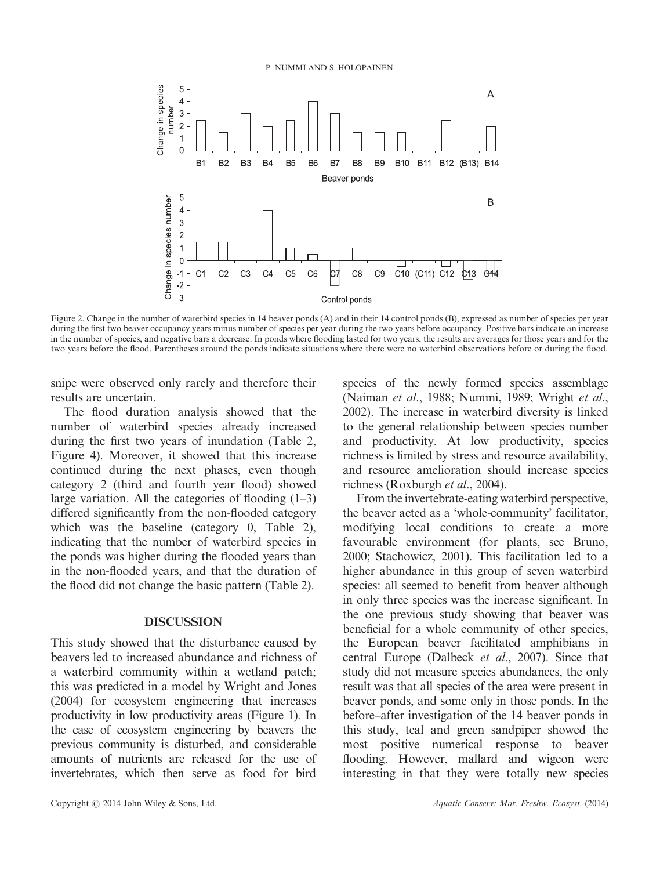

Figure 2. Change in the number of waterbird species in 14 beaver ponds (A) and in their 14 control ponds (B), expressed as number of species per year during the first two beaver occupancy years minus number of species per year during the two years before occupancy. Positive bars indicate an increase in the number of species, and negative bars a decrease. In ponds where flooding lasted for two years, the results are averages for those years and for the two years before the flood. Parentheses around the ponds indicate situations where there were no waterbird observations before or during the flood.

snipe were observed only rarely and therefore their results are uncertain.

The flood duration analysis showed that the number of waterbird species already increased during the first two years of inundation (Table 2, Figure 4). Moreover, it showed that this increase continued during the next phases, even though category 2 (third and fourth year flood) showed large variation. All the categories of flooding  $(1-3)$ differed significantly from the non-flooded category which was the baseline (category 0, Table 2), indicating that the number of waterbird species in the ponds was higher during the flooded years than in the non-flooded years, and that the duration of the flood did not change the basic pattern (Table 2).

# DISCUSSION

This study showed that the disturbance caused by beavers led to increased abundance and richness of a waterbird community within a wetland patch; this was predicted in a model by Wright and Jones (2004) for ecosystem engineering that increases productivity in low productivity areas (Figure 1). In the case of ecosystem engineering by beavers the previous community is disturbed, and considerable amounts of nutrients are released for the use of invertebrates, which then serve as food for bird

species of the newly formed species assemblage (Naiman et al., 1988; Nummi, 1989; Wright et al., 2002). The increase in waterbird diversity is linked to the general relationship between species number and productivity. At low productivity, species richness is limited by stress and resource availability, and resource amelioration should increase species richness (Roxburgh *et al.*, 2004).

From the invertebrate-eating waterbird perspective, the beaver acted as a 'whole-community' facilitator, modifying local conditions to create a more favourable environment (for plants, see Bruno, 2000; Stachowicz, 2001). This facilitation led to a higher abundance in this group of seven waterbird species: all seemed to benefit from beaver although in only three species was the increase significant. In the one previous study showing that beaver was beneficial for a whole community of other species, the European beaver facilitated amphibians in central Europe (Dalbeck et al., 2007). Since that study did not measure species abundances, the only result was that all species of the area were present in beaver ponds, and some only in those ponds. In the before–after investigation of the 14 beaver ponds in this study, teal and green sandpiper showed the most positive numerical response to beaver flooding. However, mallard and wigeon were interesting in that they were totally new species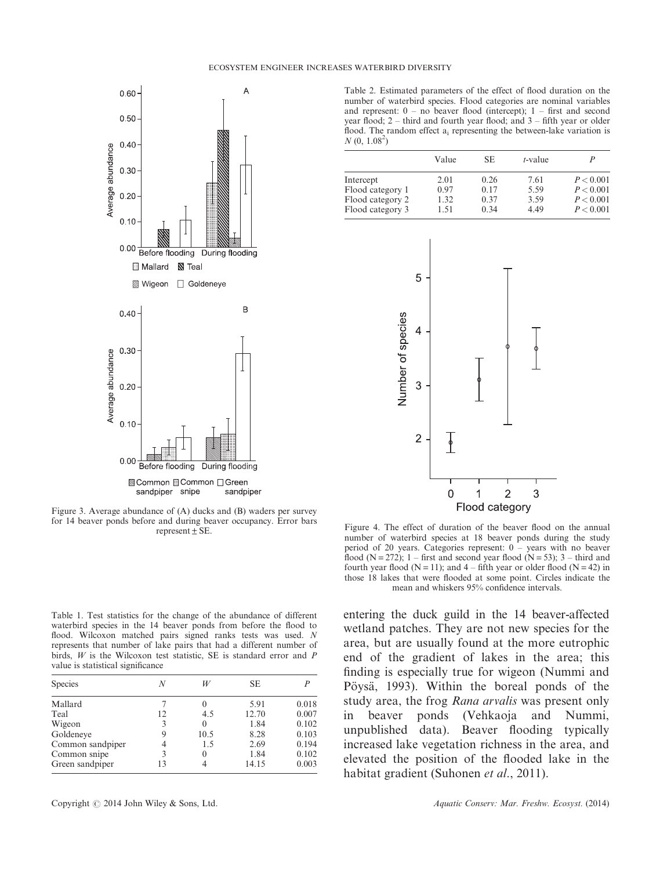

Figure 3. Average abundance of (A) ducks and (B) waders per survey for 14 beaver ponds before and during beaver occupancy. Error bars represent  $\pm$  SE.

Table 1. Test statistics for the change of the abundance of different waterbird species in the 14 beaver ponds from before the flood to flood. Wilcoxon matched pairs signed ranks tests was used. N represents that number of lake pairs that had a different number of birds, W is the Wilcoxon test statistic, SE is standard error and P value is statistical significance

| <b>Species</b>   | N  | W    | SE.   |       |
|------------------|----|------|-------|-------|
| Mallard          |    | 0    | 5.91  | 0.018 |
| Teal             | 12 | 4.5  | 12.70 | 0.007 |
| Wigeon           | 3  | 0    | 1.84  | 0.102 |
| Goldeneve        | 9  | 10.5 | 8.28  | 0.103 |
| Common sandpiper |    | 1.5  | 2.69  | 0.194 |
| Common snipe     |    | 0    | 1.84  | 0.102 |
| Green sandpiper  | 13 | 4    | 14.15 | 0.003 |

Table 2. Estimated parameters of the effect of flood duration on the number of waterbird species. Flood categories are nominal variables and represent: 0 – no beaver flood (intercept); 1 – first and second year flood; 2 – third and fourth year flood; and 3 – fifth year or older flood. The random effect  $a_i$  representing the between-lake variation is  $N(0, 1.08<sup>2</sup>)$ 

|                  | Value | SE.  | $t$ -value | P         |
|------------------|-------|------|------------|-----------|
| Intercept        | 2.01  | 0.26 | 7.61       | P < 0.001 |
| Flood category 1 | 0.97  | 0.17 | 5.59       | P < 0.001 |
| Flood category 2 | 1.32  | 0.37 | 3.59       | P < 0.001 |
| Flood category 3 | 1.51  | 0.34 | 4.49       | P < 0.001 |



Figure 4. The effect of duration of the beaver flood on the annual number of waterbird species at 18 beaver ponds during the study period of 20 years. Categories represent: 0 – years with no beaver flood (N = 272); 1 – first and second year flood (N = 53); 3 – third and fourth year flood ( $N = 11$ ); and  $4 -$  fifth year or older flood ( $N = 42$ ) in those 18 lakes that were flooded at some point. Circles indicate the mean and whiskers 95% confidence intervals.

entering the duck guild in the 14 beaver-affected wetland patches. They are not new species for the area, but are usually found at the more eutrophic end of the gradient of lakes in the area; this finding is especially true for wigeon (Nummi and Pöysä, 1993). Within the boreal ponds of the study area, the frog Rana arvalis was present only in beaver ponds (Vehkaoja and Nummi, unpublished data). Beaver flooding typically increased lake vegetation richness in the area, and elevated the position of the flooded lake in the habitat gradient (Suhonen *et al.*, 2011).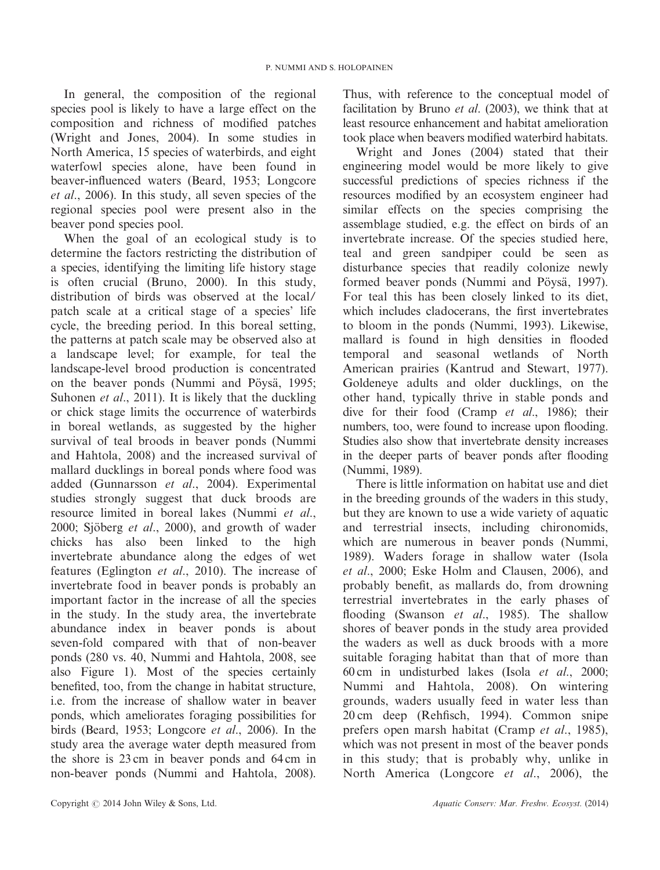In general, the composition of the regional species pool is likely to have a large effect on the composition and richness of modified patches (Wright and Jones, 2004). In some studies in North America, 15 species of waterbirds, and eight waterfowl species alone, have been found in beaver-influenced waters (Beard, 1953; Longcore et al., 2006). In this study, all seven species of the regional species pool were present also in the beaver pond species pool.

When the goal of an ecological study is to determine the factors restricting the distribution of a species, identifying the limiting life history stage is often crucial (Bruno, 2000). In this study, distribution of birds was observed at the local/ patch scale at a critical stage of a species' life cycle, the breeding period. In this boreal setting, the patterns at patch scale may be observed also at a landscape level; for example, for teal the landscape-level brood production is concentrated on the beaver ponds (Nummi and Pöysä, 1995; Suhonen *et al.*, 2011). It is likely that the duckling or chick stage limits the occurrence of waterbirds in boreal wetlands, as suggested by the higher survival of teal broods in beaver ponds (Nummi and Hahtola, 2008) and the increased survival of mallard ducklings in boreal ponds where food was added (Gunnarsson et al., 2004). Experimental studies strongly suggest that duck broods are resource limited in boreal lakes (Nummi et al., 2000; Sjöberg et al., 2000), and growth of wader chicks has also been linked to the high invertebrate abundance along the edges of wet features (Eglington et al., 2010). The increase of invertebrate food in beaver ponds is probably an important factor in the increase of all the species in the study. In the study area, the invertebrate abundance index in beaver ponds is about seven-fold compared with that of non-beaver ponds (280 vs. 40, Nummi and Hahtola, 2008, see also Figure 1). Most of the species certainly benefited, too, from the change in habitat structure, i.e. from the increase of shallow water in beaver ponds, which ameliorates foraging possibilities for birds (Beard, 1953; Longcore et al., 2006). In the study area the average water depth measured from the shore is 23 cm in beaver ponds and 64 cm in non-beaver ponds (Nummi and Hahtola, 2008).

Thus, with reference to the conceptual model of facilitation by Bruno *et al.* (2003), we think that at least resource enhancement and habitat amelioration took place when beavers modified waterbird habitats.

Wright and Jones (2004) stated that their engineering model would be more likely to give successful predictions of species richness if the resources modified by an ecosystem engineer had similar effects on the species comprising the assemblage studied, e.g. the effect on birds of an invertebrate increase. Of the species studied here, teal and green sandpiper could be seen as disturbance species that readily colonize newly formed beaver ponds (Nummi and Pöysä, 1997). For teal this has been closely linked to its diet, which includes cladocerans, the first invertebrates to bloom in the ponds (Nummi, 1993). Likewise, mallard is found in high densities in flooded temporal and seasonal wetlands of North American prairies (Kantrud and Stewart, 1977). Goldeneye adults and older ducklings, on the other hand, typically thrive in stable ponds and dive for their food (Cramp et al., 1986); their numbers, too, were found to increase upon flooding. Studies also show that invertebrate density increases in the deeper parts of beaver ponds after flooding (Nummi, 1989).

There is little information on habitat use and diet in the breeding grounds of the waders in this study, but they are known to use a wide variety of aquatic and terrestrial insects, including chironomids, which are numerous in beaver ponds (Nummi, 1989). Waders forage in shallow water (Isola et al., 2000; Eske Holm and Clausen, 2006), and probably benefit, as mallards do, from drowning terrestrial invertebrates in the early phases of flooding (Swanson et al., 1985). The shallow shores of beaver ponds in the study area provided the waders as well as duck broods with a more suitable foraging habitat than that of more than 60 cm in undisturbed lakes (Isola et al., 2000; Nummi and Hahtola, 2008). On wintering grounds, waders usually feed in water less than 20 cm deep (Rehfisch, 1994). Common snipe prefers open marsh habitat (Cramp et al., 1985), which was not present in most of the beaver ponds in this study; that is probably why, unlike in North America (Longcore *et al.*, 2006), the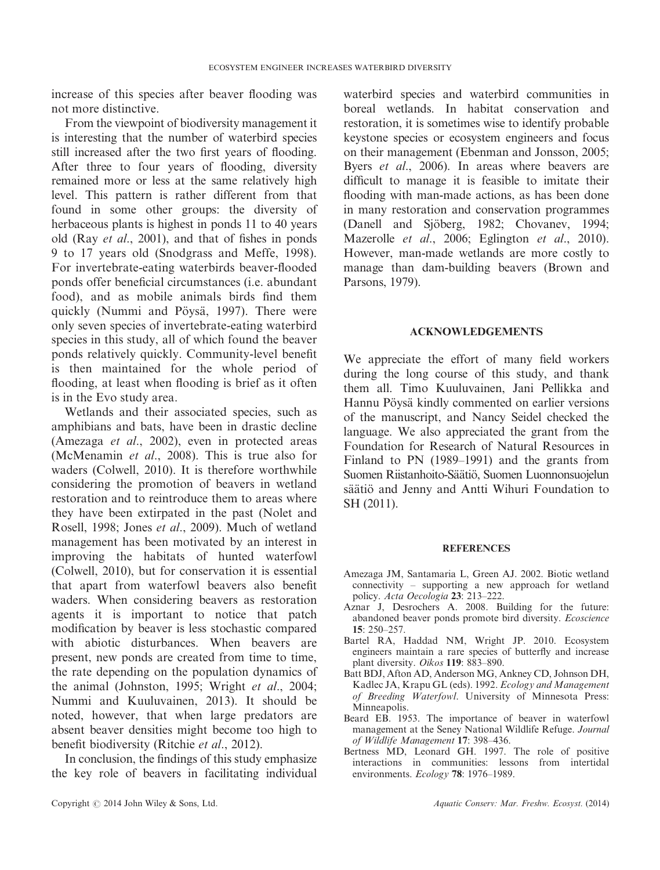increase of this species after beaver flooding was not more distinctive.

From the viewpoint of biodiversity management it is interesting that the number of waterbird species still increased after the two first years of flooding. After three to four years of flooding, diversity remained more or less at the same relatively high level. This pattern is rather different from that found in some other groups: the diversity of herbaceous plants is highest in ponds 11 to 40 years old (Ray et al., 2001), and that of fishes in ponds 9 to 17 years old (Snodgrass and Meffe, 1998). For invertebrate-eating waterbirds beaver-flooded ponds offer beneficial circumstances (i.e. abundant food), and as mobile animals birds find them quickly (Nummi and Pöysä, 1997). There were only seven species of invertebrate-eating waterbird species in this study, all of which found the beaver ponds relatively quickly. Community-level benefit is then maintained for the whole period of flooding, at least when flooding is brief as it often is in the Evo study area.

Wetlands and their associated species, such as amphibians and bats, have been in drastic decline (Amezaga et al., 2002), even in protected areas (McMenamin et al., 2008). This is true also for waders (Colwell, 2010). It is therefore worthwhile considering the promotion of beavers in wetland restoration and to reintroduce them to areas where they have been extirpated in the past (Nolet and Rosell, 1998; Jones et al., 2009). Much of wetland management has been motivated by an interest in improving the habitats of hunted waterfowl (Colwell, 2010), but for conservation it is essential that apart from waterfowl beavers also benefit waders. When considering beavers as restoration agents it is important to notice that patch modification by beaver is less stochastic compared with abiotic disturbances. When beavers are present, new ponds are created from time to time, the rate depending on the population dynamics of the animal (Johnston, 1995; Wright et al., 2004; Nummi and Kuuluvainen, 2013). It should be noted, however, that when large predators are absent beaver densities might become too high to benefit biodiversity (Ritchie et al., 2012).

In conclusion, the findings of this study emphasize the key role of beavers in facilitating individual waterbird species and waterbird communities in boreal wetlands. In habitat conservation and restoration, it is sometimes wise to identify probable keystone species or ecosystem engineers and focus on their management (Ebenman and Jonsson, 2005; Byers *et al.*, 2006). In areas where beavers are difficult to manage it is feasible to imitate their flooding with man-made actions, as has been done in many restoration and conservation programmes (Danell and Sjöberg, 1982; Chovanev, 1994; Mazerolle et al., 2006; Eglington et al., 2010). However, man-made wetlands are more costly to manage than dam-building beavers (Brown and Parsons, 1979).

## ACKNOWLEDGEMENTS

We appreciate the effort of many field workers during the long course of this study, and thank them all. Timo Kuuluvainen, Jani Pellikka and Hannu Pöysä kindly commented on earlier versions of the manuscript, and Nancy Seidel checked the language. We also appreciated the grant from the Foundation for Research of Natural Resources in Finland to PN (1989–1991) and the grants from Suomen Riistanhoito-Säätiö, Suomen Luonnonsuojelun säätiö and Jenny and Antti Wihuri Foundation to SH (2011).

## **REFERENCES**

- Amezaga JM, Santamaria L, Green AJ. 2002. Biotic wetland connectivity – supporting a new approach for wetland policy. Acta Oecologia 23: 213–222.
- Aznar J, Desrochers A. 2008. Building for the future: abandoned beaver ponds promote bird diversity. Ecoscience 15: 250–257.
- Bartel RA, Haddad NM, Wright JP. 2010. Ecosystem engineers maintain a rare species of butterfly and increase plant diversity. Oikos 119: 883–890.
- Batt BDJ, Afton AD, Anderson MG, Ankney CD, Johnson DH, Kadlec JA, Krapu GL (eds). 1992. Ecology and Management of Breeding Waterfowl. University of Minnesota Press: Minneapolis.
- Beard EB. 1953. The importance of beaver in waterfowl management at the Seney National Wildlife Refuge. Journal of Wildlife Management 17: 398–436.
- Bertness MD, Leonard GH. 1997. The role of positive interactions in communities: lessons from intertidal environments. Ecology 78: 1976–1989.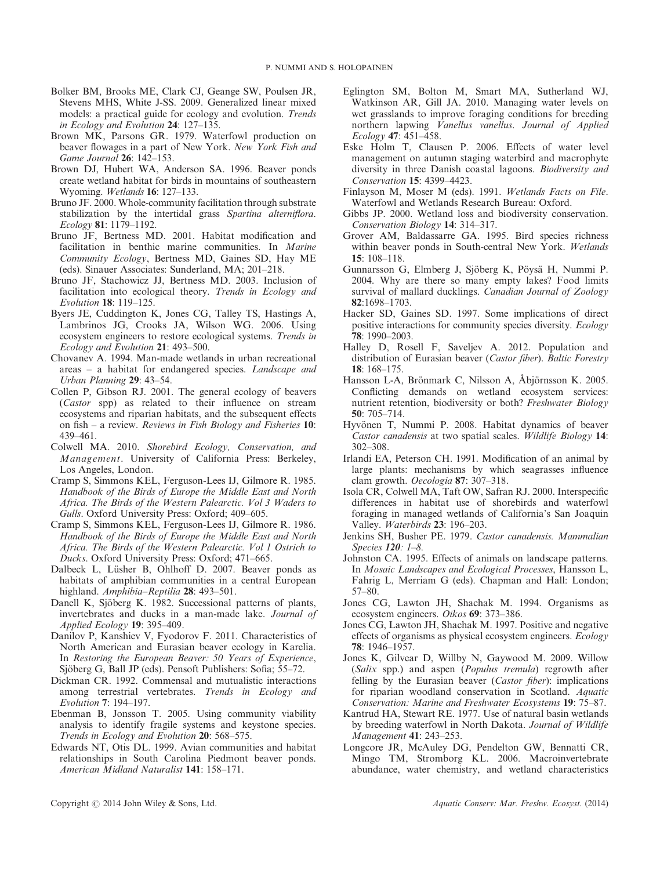- Bolker BM, Brooks ME, Clark CJ, Geange SW, Poulsen JR, Stevens MHS, White J-SS. 2009. Generalized linear mixed models: a practical guide for ecology and evolution. Trends in Ecology and Evolution 24: 127–135.
- Brown MK, Parsons GR. 1979. Waterfowl production on beaver flowages in a part of New York. New York Fish and Game Journal 26: 142-153.
- Brown DJ, Hubert WA, Anderson SA. 1996. Beaver ponds create wetland habitat for birds in mountains of southeastern Wyoming. Wetlands 16: 127–133.
- Bruno JF. 2000. Whole-community facilitation through substrate stabilization by the intertidal grass Spartina alterniflora. Ecology 81: 1179–1192.
- Bruno JF, Bertness MD. 2001. Habitat modification and facilitation in benthic marine communities. In Marine Community Ecology, Bertness MD, Gaines SD, Hay ME (eds). Sinauer Associates: Sunderland, MA; 201–218.
- Bruno JF, Stachowicz JJ, Bertness MD. 2003. Inclusion of facilitation into ecological theory. Trends in Ecology and Evolution 18: 119–125.
- Byers JE, Cuddington K, Jones CG, Talley TS, Hastings A, Lambrinos JG, Crooks JA, Wilson WG. 2006. Using ecosystem engineers to restore ecological systems. Trends in Ecology and Evolution 21: 493–500.
- Chovanev A. 1994. Man-made wetlands in urban recreational areas – a habitat for endangered species. Landscape and Urban Planning 29: 43–54.
- Collen P, Gibson RJ. 2001. The general ecology of beavers (Castor spp) as related to their influence on stream ecosystems and riparian habitats, and the subsequent effects on fish – a review. Reviews in Fish Biology and Fisheries  $10$ : 439–461.
- Colwell MA. 2010. Shorebird Ecology, Conservation, and Management. University of California Press: Berkeley, Los Angeles, London.
- Cramp S, Simmons KEL, Ferguson-Lees IJ, Gilmore R. 1985. Handbook of the Birds of Europe the Middle East and North Africa. The Birds of the Western Palearctic. Vol 3 Waders to Gulls. Oxford University Press: Oxford; 409–605.
- Cramp S, Simmons KEL, Ferguson-Lees IJ, Gilmore R. 1986. Handbook of the Birds of Europe the Middle East and North Africa. The Birds of the Western Palearctic. Vol 1 Ostrich to Ducks. Oxford University Press: Oxford; 471–665.
- Dalbeck L, Lüsher B, Ohlhoff D. 2007. Beaver ponds as habitats of amphibian communities in a central European highland. Amphibia–Reptilia 28: 493–501.
- Danell K, Sjöberg K. 1982. Successional patterns of plants, invertebrates and ducks in a man-made lake. Journal of Applied Ecology 19: 395–409.
- Danilov P, Kanshiev V, Fyodorov F. 2011. Characteristics of North American and Eurasian beaver ecology in Karelia. In Restoring the European Beaver: 50 Years of Experience, Sjöberg G, Ball JP (eds). Pensoft Publishers: Sofia; 55–72.
- Dickman CR. 1992. Commensal and mutualistic interactions among terrestrial vertebrates. Trends in Ecology and Evolution 7: 194–197.
- Ebenman B, Jonsson T. 2005. Using community viability analysis to identify fragile systems and keystone species. Trends in Ecology and Evolution 20: 568–575.
- Edwards NT, Otis DL. 1999. Avian communities and habitat relationships in South Carolina Piedmont beaver ponds. American Midland Naturalist 141: 158–171.
- Eglington SM, Bolton M, Smart MA, Sutherland WJ, Watkinson AR, Gill JA. 2010. Managing water levels on wet grasslands to improve foraging conditions for breeding northern lapwing Vanellus vanellus. Journal of Applied Ecology 47: 451–458.
- Eske Holm T, Clausen P. 2006. Effects of water level management on autumn staging waterbird and macrophyte diversity in three Danish coastal lagoons. Biodiversity and Conservation 15: 4399–4423.
- Finlayson M, Moser M (eds), 1991. Wetlands Facts on File. Waterfowl and Wetlands Research Bureau: Oxford.
- Gibbs JP. 2000. Wetland loss and biodiversity conservation. Conservation Biology 14: 314–317.
- Grover AM, Baldassarre GA. 1995. Bird species richness within beaver ponds in South-central New York. Wetlands 15: 108–118.
- Gunnarsson G, Elmberg J, Sjöberg K, Pöysä H, Nummi P. 2004. Why are there so many empty lakes? Food limits survival of mallard ducklings. Canadian Journal of Zoology 82:1698–1703.
- Hacker SD, Gaines SD. 1997. Some implications of direct positive interactions for community species diversity. Ecology 78: 1990–2003.
- Halley D, Rosell F, Saveljev A. 2012. Population and distribution of Eurasian beaver (Castor fiber). Baltic Forestry  $18:168-175$
- Hansson L-A, Brönmark C, Nilsson A, Åbjörnsson K. 2005. Conflicting demands on wetland ecosystem services: nutrient retention, biodiversity or both? Freshwater Biology 50: 705–714.
- Hyvönen T, Nummi P. 2008. Habitat dynamics of beaver Castor canadensis at two spatial scales. Wildlife Biology 14: 302–308.
- Irlandi EA, Peterson CH. 1991. Modification of an animal by large plants: mechanisms by which seagrasses influence clam growth. Oecologia 87: 307-318.
- Isola CR, Colwell MA, Taft OW, Safran RJ. 2000. Interspecific differences in habitat use of shorebirds and waterfowl foraging in managed wetlands of California's San Joaquin Valley. Waterbirds 23: 196–203.
- Jenkins SH, Busher PE. 1979. Castor canadensis. Mammalian Species 120: 1–8.
- Johnston CA. 1995. Effects of animals on landscape patterns. In Mosaic Landscapes and Ecological Processes, Hansson L, Fahrig L, Merriam G (eds). Chapman and Hall: London; 57–80.
- Jones CG, Lawton JH, Shachak M. 1994. Organisms as ecosystem engineers. Oikos 69: 373–386.
- Jones CG, Lawton JH, Shachak M. 1997. Positive and negative effects of organisms as physical ecosystem engineers. Ecology 78: 1946–1957.
- Jones K, Gilvear D, Willby N, Gaywood M. 2009. Willow (Salix spp.) and aspen (Populus tremula) regrowth after felling by the Eurasian beaver (Castor fiber): implications for riparian woodland conservation in Scotland. Aquatic Conservation: Marine and Freshwater Ecosystems 19: 75–87.
- Kantrud HA, Stewart RE. 1977. Use of natural basin wetlands by breeding waterfowl in North Dakota. Journal of Wildlife Management 41: 243–253.
- Longcore JR, McAuley DG, Pendelton GW, Bennatti CR, Mingo TM, Stromborg KL. 2006. Macroinvertebrate abundance, water chemistry, and wetland characteristics